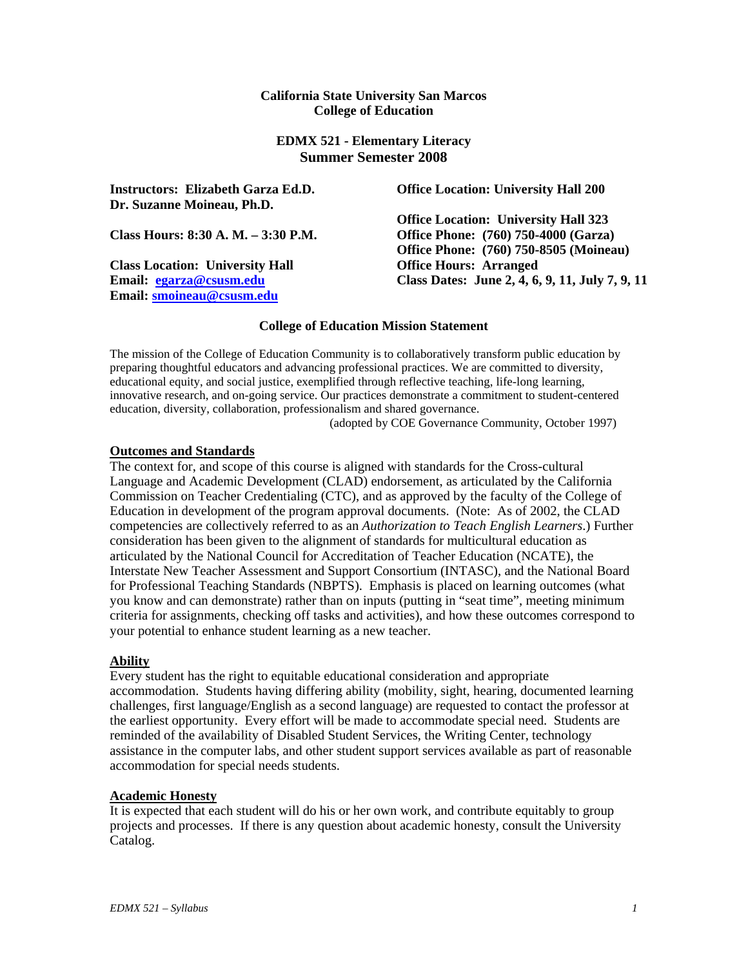#### **California State University San Marcos College of Education**

### **EDMX 521 - Elementary Literacy Summer Semester 2008**

**Instructors: Elizabeth Garza Ed.D. Dr. Suzanne Moineau, Ph.D.** 

**Class Location: University Hall Office Hours: Arranged Email: egarza@csusm.edu Email: smoineau@csusm.edu**

**Office Location: University Hall 200** 

**Office Location: University Hall 323 Class Hours: 8:30 A. M. – 3:30 P.M. Office Phone: (760) 750-4000 (Garza) Office Phone: (760) 750-8505 (Moineau) Class Dates: June 2, 4, 6, 9, 11, July 7, 9, 11** 

### **College of Education Mission Statement**

The mission of the College of Education Community is to collaboratively transform public education by preparing thoughtful educators and advancing professional practices. We are committed to diversity, educational equity, and social justice, exemplified through reflective teaching, life-long learning, innovative research, and on-going service. Our practices demonstrate a commitment to student-centered education, diversity, collaboration, professionalism and shared governance.

(adopted by COE Governance Community, October 1997)

#### **Outcomes and Standards**

The context for, and scope of this course is aligned with standards for the Cross-cultural Language and Academic Development (CLAD) endorsement, as articulated by the California Commission on Teacher Credentialing (CTC), and as approved by the faculty of the College of Education in development of the program approval documents. (Note: As of 2002, the CLAD competencies are collectively referred to as an *Authorization to Teach English Learners*.) Further consideration has been given to the alignment of standards for multicultural education as articulated by the National Council for Accreditation of Teacher Education (NCATE), the Interstate New Teacher Assessment and Support Consortium (INTASC), and the National Board for Professional Teaching Standards (NBPTS). Emphasis is placed on learning outcomes (what you know and can demonstrate) rather than on inputs (putting in "seat time", meeting minimum criteria for assignments, checking off tasks and activities), and how these outcomes correspond to your potential to enhance student learning as a new teacher.

### **Ability**

Every student has the right to equitable educational consideration and appropriate accommodation. Students having differing ability (mobility, sight, hearing, documented learning challenges, first language/English as a second language) are requested to contact the professor at the earliest opportunity. Every effort will be made to accommodate special need. Students are reminded of the availability of Disabled Student Services, the Writing Center, technology assistance in the computer labs, and other student support services available as part of reasonable accommodation for special needs students.

### **Academic Honesty**

It is expected that each student will do his or her own work, and contribute equitably to group projects and processes. If there is any question about academic honesty, consult the University Catalog.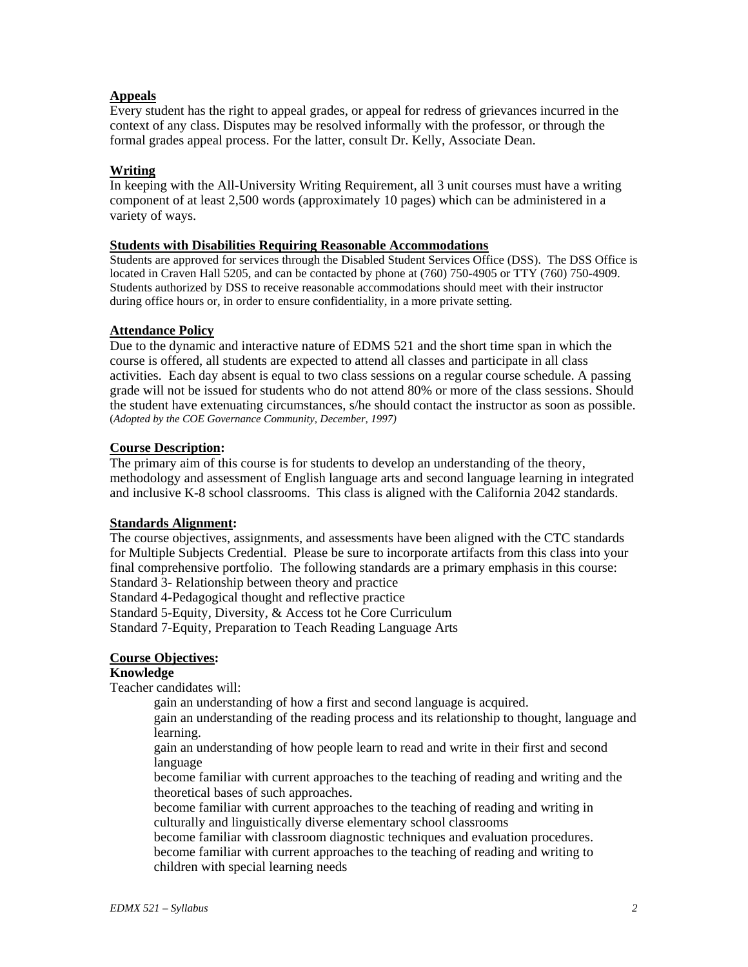## **Appeals**

Every student has the right to appeal grades, or appeal for redress of grievances incurred in the context of any class. Disputes may be resolved informally with the professor, or through the formal grades appeal process. For the latter, consult Dr. Kelly, Associate Dean.

## **Writing**

In keeping with the All-University Writing Requirement, all 3 unit courses must have a writing component of at least 2,500 words (approximately 10 pages) which can be administered in a variety of ways.

### **Students with Disabilities Requiring Reasonable Accommodations**

Students are approved for services through the Disabled Student Services Office (DSS). The DSS Office is located in Craven Hall 5205, and can be contacted by phone at (760) 750-4905 or TTY (760) 750-4909. Students authorized by DSS to receive reasonable accommodations should meet with their instructor during office hours or, in order to ensure confidentiality, in a more private setting.

### **Attendance Policy**

Due to the dynamic and interactive nature of EDMS 521 and the short time span in which the course is offered, all students are expected to attend all classes and participate in all class activities. Each day absent is equal to two class sessions on a regular course schedule. A passing grade will not be issued for students who do not attend 80% or more of the class sessions. Should the student have extenuating circumstances, s/he should contact the instructor as soon as possible. (*Adopted by the COE Governance Community, December, 1997)*

### **Course Description:**

The primary aim of this course is for students to develop an understanding of the theory, methodology and assessment of English language arts and second language learning in integrated and inclusive K-8 school classrooms. This class is aligned with the California 2042 standards.

## **Standards Alignment:**

The course objectives, assignments, and assessments have been aligned with the CTC standards for Multiple Subjects Credential. Please be sure to incorporate artifacts from this class into your final comprehensive portfolio. The following standards are a primary emphasis in this course: Standard 3- Relationship between theory and practice

Standard 4-Pedagogical thought and reflective practice

Standard 5-Equity, Diversity, & Access tot he Core Curriculum

Standard 7-Equity, Preparation to Teach Reading Language Arts

# **Course Objectives:**

### **Knowledge**

Teacher candidates will:

gain an understanding of how a first and second language is acquired.

gain an understanding of the reading process and its relationship to thought, language and learning.

gain an understanding of how people learn to read and write in their first and second language

become familiar with current approaches to the teaching of reading and writing and the theoretical bases of such approaches.

become familiar with current approaches to the teaching of reading and writing in culturally and linguistically diverse elementary school classrooms

become familiar with classroom diagnostic techniques and evaluation procedures. become familiar with current approaches to the teaching of reading and writing to children with special learning needs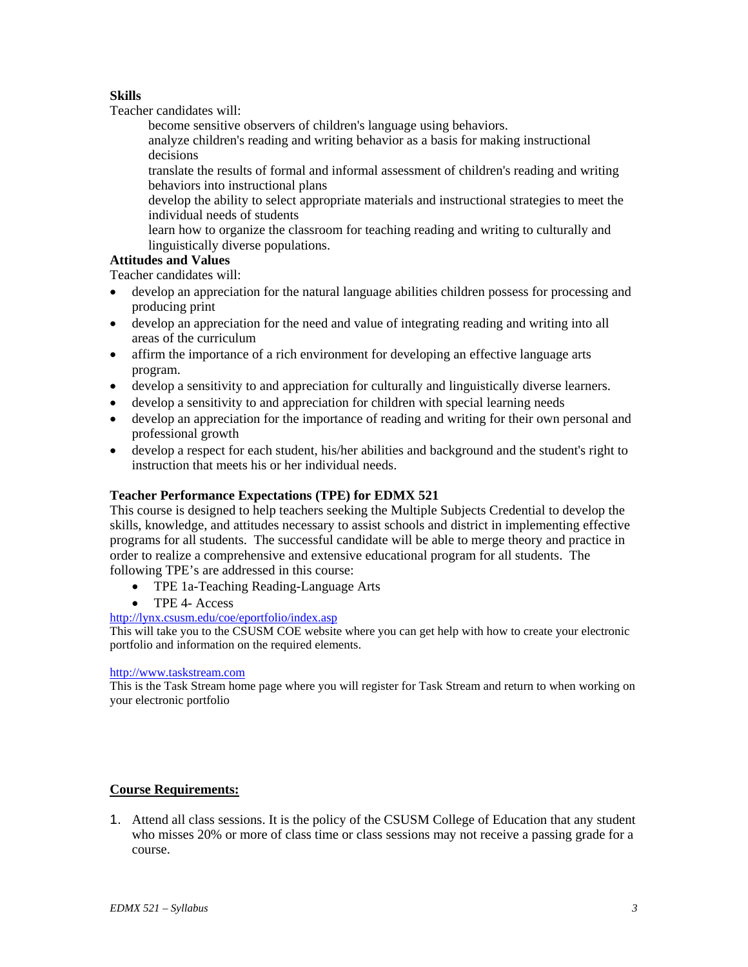## **Skills**

Teacher candidates will:

become sensitive observers of children's language using behaviors.

analyze children's reading and writing behavior as a basis for making instructional decisions

translate the results of formal and informal assessment of children's reading and writing behaviors into instructional plans

develop the ability to select appropriate materials and instructional strategies to meet the individual needs of students

learn how to organize the classroom for teaching reading and writing to culturally and linguistically diverse populations.

# **Attitudes and Values**

Teacher candidates will:

- develop an appreciation for the natural language abilities children possess for processing and producing print
- develop an appreciation for the need and value of integrating reading and writing into all areas of the curriculum
- affirm the importance of a rich environment for developing an effective language arts program.
- develop a sensitivity to and appreciation for culturally and linguistically diverse learners.
- develop a sensitivity to and appreciation for children with special learning needs
- develop an appreciation for the importance of reading and writing for their own personal and professional growth
- develop a respect for each student, his/her abilities and background and the student's right to instruction that meets his or her individual needs.

### **Teacher Performance Expectations (TPE) for EDMX 521**

This course is designed to help teachers seeking the Multiple Subjects Credential to develop the skills, knowledge, and attitudes necessary to assist schools and district in implementing effective programs for all students. The successful candidate will be able to merge theory and practice in order to realize a comprehensive and extensive educational program for all students. The following TPE's are addressed in this course:

- TPE 1a-Teaching Reading-Language Arts
- TPE 4- Access

## http://lynx.csusm.edu/coe/eportfolio/index.asp

This will take you to the CSUSM COE website where you can get help with how to create your electronic portfolio and information on the required elements.

#### http://www.taskstream.com

This is the Task Stream home page where you will register for Task Stream and return to when working on your electronic portfolio

# **Course Requirements:**

1. Attend all class sessions. It is the policy of the CSUSM College of Education that any student who misses 20% or more of class time or class sessions may not receive a passing grade for a course.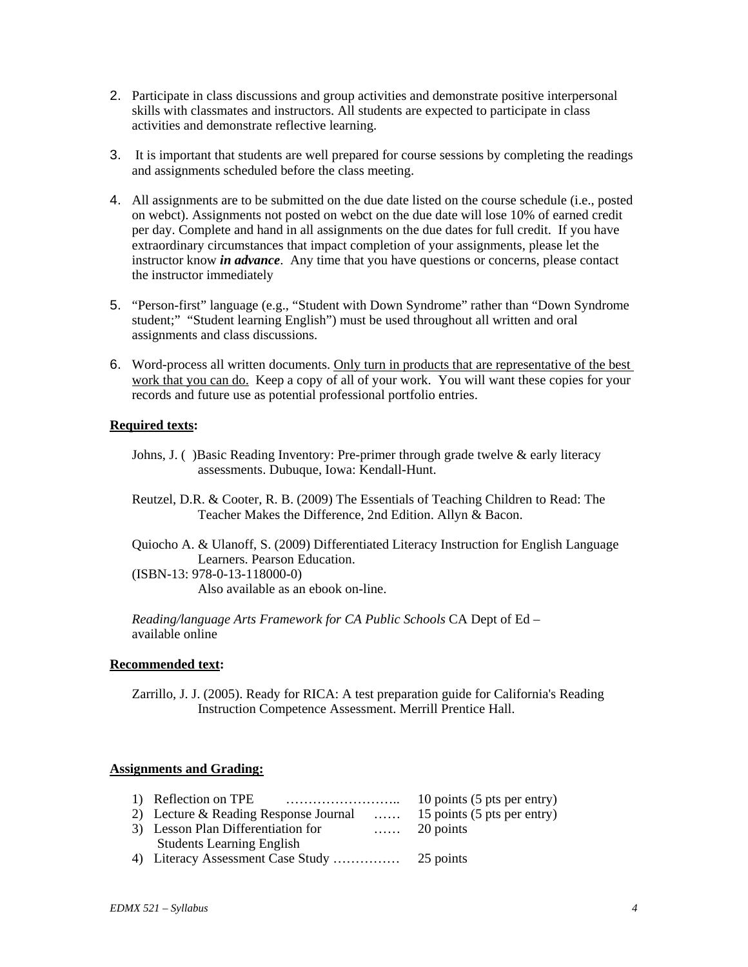- 2. Participate in class discussions and group activities and demonstrate positive interpersonal skills with classmates and instructors. All students are expected to participate in class activities and demonstrate reflective learning.
- 3. It is important that students are well prepared for course sessions by completing the readings and assignments scheduled before the class meeting.
- 4. All assignments are to be submitted on the due date listed on the course schedule (i.e., posted on webct). Assignments not posted on webct on the due date will lose 10% of earned credit per day. Complete and hand in all assignments on the due dates for full credit. If you have extraordinary circumstances that impact completion of your assignments, please let the instructor know *in advance*. Any time that you have questions or concerns, please contact the instructor immediately
- 5. "Person-first" language (e.g., "Student with Down Syndrome" rather than "Down Syndrome student;" "Student learning English") must be used throughout all written and oral assignments and class discussions.
- 6. Word-process all written documents. Only turn in products that are representative of the best work that you can do. Keep a copy of all of your work. You will want these copies for your records and future use as potential professional portfolio entries.

#### **Required texts:**

- Johns, J. () Basic Reading Inventory: Pre-primer through grade twelve & early literacy assessments. Dubuque, Iowa: Kendall-Hunt.
- Reutzel, D.R. & Cooter, R. B. (2009) The Essentials of Teaching Children to Read: The Teacher Makes the Difference, 2nd Edition. Allyn & Bacon.
- Quiocho A. & Ulanoff, S. (2009) Differentiated Literacy Instruction for English Language Learners. Pearson Education. (ISBN-13: 978-0-13-118000-0)

Also available as an ebook on-line.

*Reading/language Arts Framework for CA Public Schools* CA Dept of Ed – available online

#### **Recommended text:**

Zarrillo, J. J. (2005). Ready for RICA: A test preparation guide for California's Reading Instruction Competence Assessment. Merrill Prentice Hall.

### **Assignments and Grading:**

|                                                                    | 10 points (5 pts per entry) |
|--------------------------------------------------------------------|-----------------------------|
| 2) Lecture & Reading Response Journal  15 points (5 pts per entry) |                             |
| 3) Lesson Plan Differentiation for                                 | $\ldots$ 20 points          |
| <b>Students Learning English</b>                                   |                             |
|                                                                    |                             |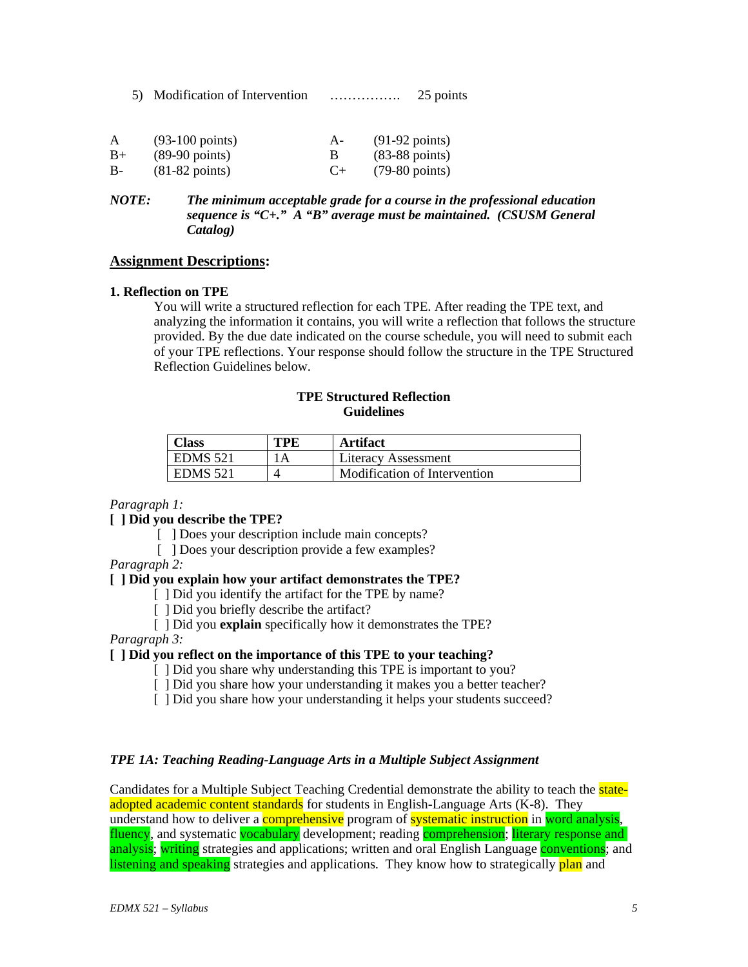5) Modification of Intervention ……………. 25 points

| A    | $(93-100 \text{ points})$ | $A -$ | $(91-92 \text{ points})$ |
|------|---------------------------|-------|--------------------------|
| $B+$ | $(89-90 \text{ points})$  |       | $(83-88 \text{ points})$ |
| $B-$ | $(81-82 \text{ points})$  |       | $(79-80 \text{ points})$ |

*NOTE: The minimum acceptable grade for a course in the professional education sequence is "C+." A "B" average must be maintained. (CSUSM General Catalog)* 

#### **Assignment Descriptions:**

#### **1. Reflection on TPE**

You will write a structured reflection for each TPE. After reading the TPE text, and analyzing the information it contains, you will write a reflection that follows the structure provided. By the due date indicated on the course schedule, you will need to submit each of your TPE reflections. Your response should follow the structure in the TPE Structured Reflection Guidelines below.

### **TPE Structured Reflection Guidelines**

| <b>Class</b>    | TPE | Artifact                     |
|-----------------|-----|------------------------------|
| <b>EDMS</b> 521 | l A | Literacy Assessment          |
| $ $ EDMS 521    |     | Modification of Intervention |

#### *Paragraph 1:*

**[ ] Did you describe the TPE?** 

- [ ] Does your description include main concepts?
- [ ] Does your description provide a few examples?

*Paragraph 2:* 

#### **[ ] Did you explain how your artifact demonstrates the TPE?**

- [ ] Did you identify the artifact for the TPE by name?
- [ ] Did you briefly describe the artifact?

[ ] Did you **explain** specifically how it demonstrates the TPE?

*Paragraph 3:* 

#### **[ ] Did you reflect on the importance of this TPE to your teaching?**

- [ ] Did you share why understanding this TPE is important to you?
- [ ] Did you share how your understanding it makes you a better teacher?
- [ ] Did you share how your understanding it helps your students succeed?

### *TPE 1A: Teaching Reading-Language Arts in a Multiple Subject Assignment*

Candidates for a Multiple Subject Teaching Credential demonstrate the ability to teach the stateadopted academic content standards for students in English-Language Arts (K-8). They understand how to deliver a **comprehensive** program of **systematic instruction** in word analysis. fluency, and systematic vocabulary development; reading comprehension; literary response and analysis; writing strategies and applications; written and oral English Language conventions; and listening and speaking strategies and applications. They know how to strategically plan and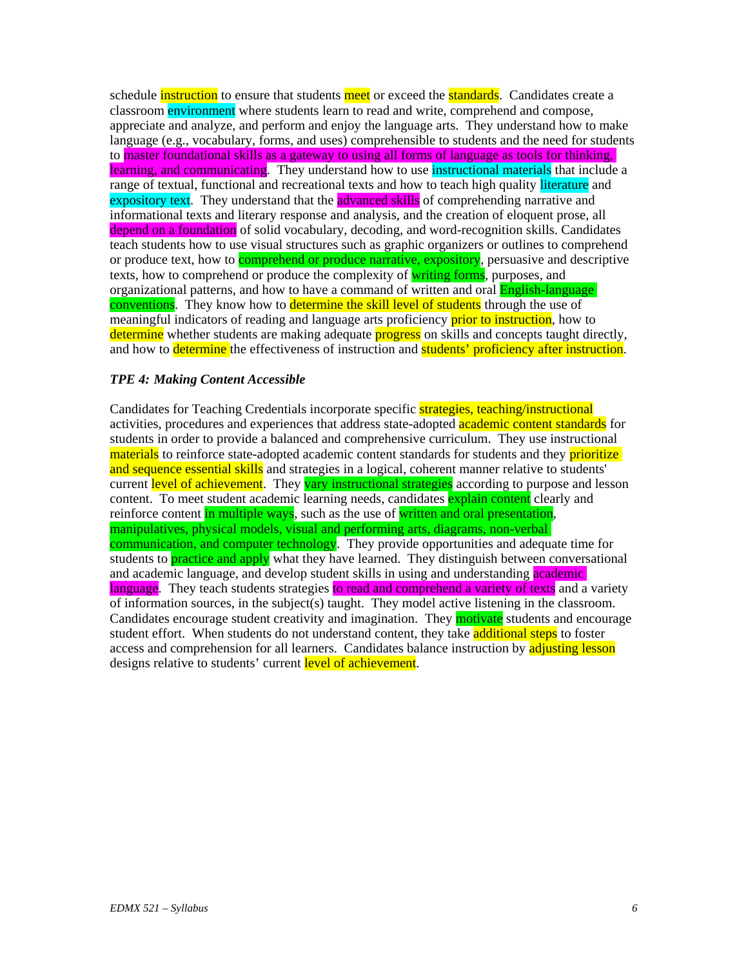schedule *instruction* to ensure that students meet or exceed the **standards**. Candidates create a classroom environment where students learn to read and write, comprehend and compose, appreciate and analyze, and perform and enjoy the language arts. They understand how to make language (e.g., vocabulary, forms, and uses) comprehensible to students and the need for students to master foundational skills as a gateway to using all forms of language as tools for thinking, learning, and communicating. They understand how to use instructional materials that include a range of textual, functional and recreational texts and how to teach high quality literature and expository text. They understand that the advanced skills of comprehending narrative and informational texts and literary response and analysis, and the creation of eloquent prose, all depend on a foundation of solid vocabulary, decoding, and word-recognition skills. Candidates teach students how to use visual structures such as graphic organizers or outlines to comprehend or produce text, how to **comprehend or produce narrative, expository**, persuasive and descriptive texts, how to comprehend or produce the complexity of writing forms, purposes, and organizational patterns, and how to have a command of written and oral **English-language** conventions. They know how to determine the skill level of students through the use of meaningful indicators of reading and language arts proficiency **prior to instruction**, how to determine whether students are making adequate **progress** on skills and concepts taught directly, and how to determine the effectiveness of instruction and students' proficiency after instruction.

#### *TPE 4: Making Content Accessible*

Candidates for Teaching Credentials incorporate specific strategies, teaching/instructional activities, procedures and experiences that address state-adopted **academic content standards** for students in order to provide a balanced and comprehensive curriculum. They use instructional materials to reinforce state-adopted academic content standards for students and they prioritize and sequence essential skills and strategies in a logical, coherent manner relative to students' current level of achievement. They vary instructional strategies according to purpose and lesson content. To meet student academic learning needs, candidates **explain content** clearly and reinforce content in multiple ways, such as the use of written and oral presentation, manipulatives, physical models, visual and performing arts, diagrams, non-verbal communication, and computer technology. They provide opportunities and adequate time for students to **practice and apply** what they have learned. They distinguish between conversational and academic language, and develop student skills in using and understanding **academic** language. They teach students strategies to read and comprehend a variety of texts and a variety of information sources, in the subject(s) taught. They model active listening in the classroom. Candidates encourage student creativity and imagination. They **motivate** students and encourage student effort. When students do not understand content, they take additional steps to foster access and comprehension for all learners. Candidates balance instruction by adjusting lesson designs relative to students' current level of achievement.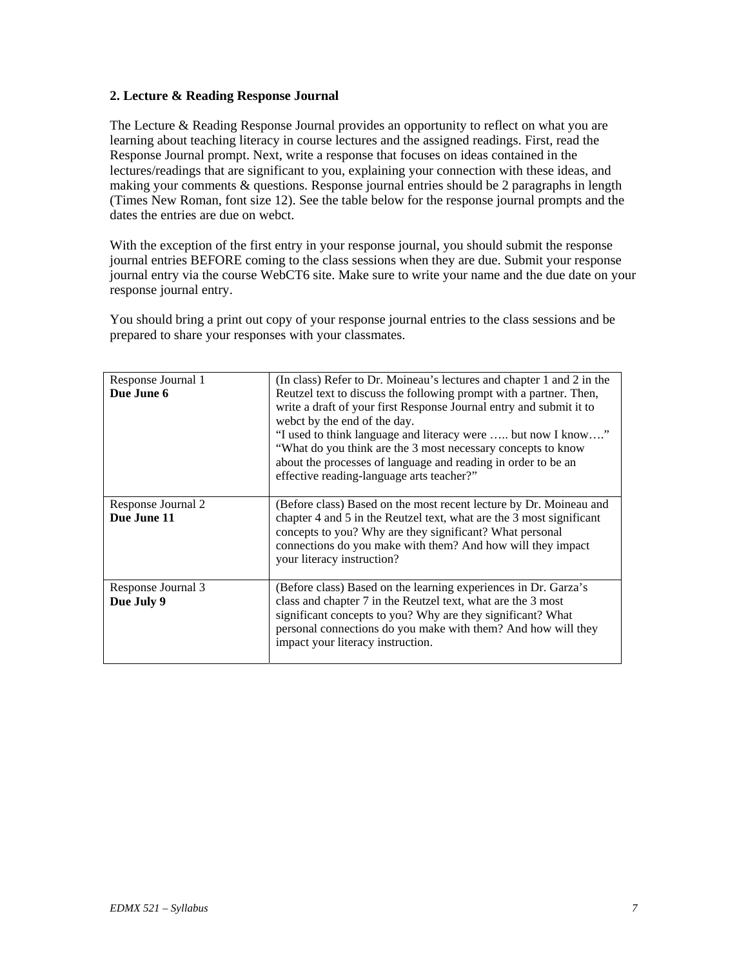#### **2. Lecture & Reading Response Journal**

The Lecture & Reading Response Journal provides an opportunity to reflect on what you are learning about teaching literacy in course lectures and the assigned readings. First, read the Response Journal prompt. Next, write a response that focuses on ideas contained in the lectures/readings that are significant to you, explaining your connection with these ideas, and making your comments & questions. Response journal entries should be 2 paragraphs in length (Times New Roman, font size 12). See the table below for the response journal prompts and the dates the entries are due on webct.

With the exception of the first entry in your response journal, you should submit the response journal entries BEFORE coming to the class sessions when they are due. Submit your response journal entry via the course WebCT6 site. Make sure to write your name and the due date on your response journal entry.

You should bring a print out copy of your response journal entries to the class sessions and be prepared to share your responses with your classmates.

| Response Journal 1<br>Due June 6  | (In class) Refer to Dr. Moineau's lectures and chapter 1 and 2 in the<br>Reutzel text to discuss the following prompt with a partner. Then,<br>write a draft of your first Response Journal entry and submit it to<br>webct by the end of the day.<br>"I used to think language and literacy were  but now I know"<br>"What do you think are the 3 most necessary concepts to know<br>about the processes of language and reading in order to be an<br>effective reading-language arts teacher?" |
|-----------------------------------|--------------------------------------------------------------------------------------------------------------------------------------------------------------------------------------------------------------------------------------------------------------------------------------------------------------------------------------------------------------------------------------------------------------------------------------------------------------------------------------------------|
| Response Journal 2<br>Due June 11 | (Before class) Based on the most recent lecture by Dr. Moineau and<br>chapter 4 and 5 in the Reutzel text, what are the 3 most significant<br>concepts to you? Why are they significant? What personal<br>connections do you make with them? And how will they impact<br>your literacy instruction?                                                                                                                                                                                              |
| Response Journal 3<br>Due July 9  | (Before class) Based on the learning experiences in Dr. Garza's<br>class and chapter 7 in the Reutzel text, what are the 3 most<br>significant concepts to you? Why are they significant? What<br>personal connections do you make with them? And how will they<br>impact your literacy instruction.                                                                                                                                                                                             |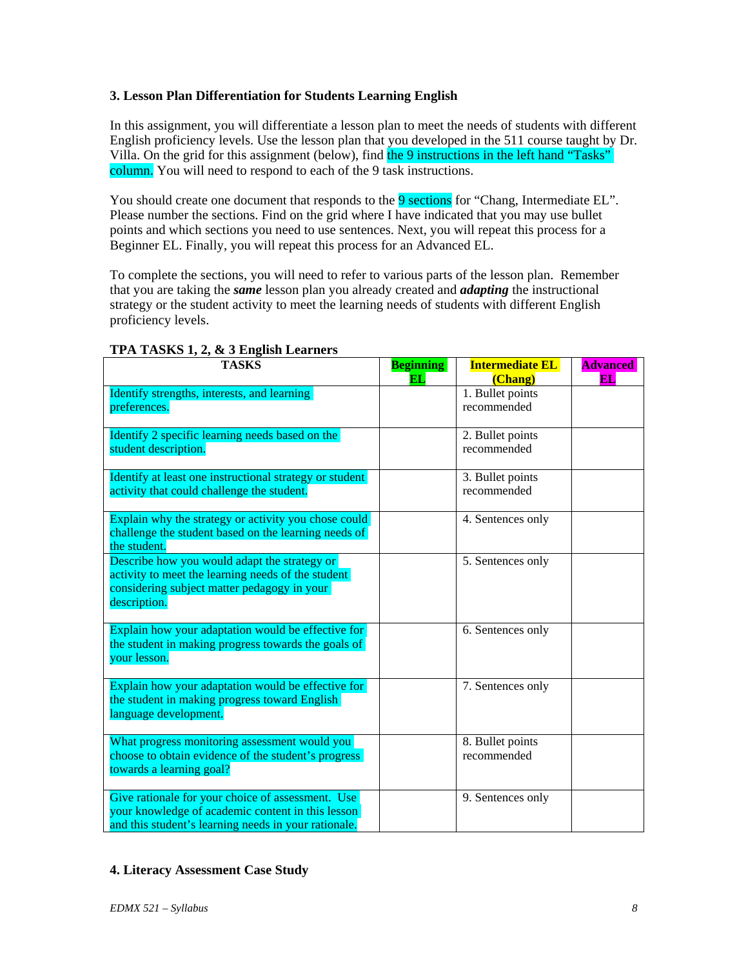## **3. Lesson Plan Differentiation for Students Learning English**

In this assignment, you will differentiate a lesson plan to meet the needs of students with different English proficiency levels. Use the lesson plan that you developed in the 511 course taught by Dr. Villa. On the grid for this assignment (below), find the 9 instructions in the left hand "Tasks" column. You will need to respond to each of the 9 task instructions.

You should create one document that responds to the 9 sections for "Chang, Intermediate EL". Please number the sections. Find on the grid where I have indicated that you may use bullet points and which sections you need to use sentences. Next, you will repeat this process for a Beginner EL. Finally, you will repeat this process for an Advanced EL.

To complete the sections, you will need to refer to various parts of the lesson plan. Remember that you are taking the *same* lesson plan you already created and *adapting* the instructional strategy or the student activity to meet the learning needs of students with different English proficiency levels.

| <b>TASKS</b>                                                                                                                                                      | <b>Beginning</b> | <b>Intermediate EL</b>                     | <b>Advanced</b> |
|-------------------------------------------------------------------------------------------------------------------------------------------------------------------|------------------|--------------------------------------------|-----------------|
| Identify strengths, interests, and learning<br>preferences.                                                                                                       | <b>EL</b>        | (Chang)<br>1. Bullet points<br>recommended | EL              |
| Identify 2 specific learning needs based on the<br>student description.                                                                                           |                  | 2. Bullet points<br>recommended            |                 |
| Identify at least one instructional strategy or student<br>activity that could challenge the student.                                                             |                  | 3. Bullet points<br>recommended            |                 |
| Explain why the strategy or activity you chose could<br>challenge the student based on the learning needs of<br>the student.                                      |                  | 4. Sentences only                          |                 |
| Describe how you would adapt the strategy or<br>activity to meet the learning needs of the student<br>considering subject matter pedagogy in your<br>description. |                  | 5. Sentences only                          |                 |
| Explain how your adaptation would be effective for<br>the student in making progress towards the goals of<br>your lesson.                                         |                  | 6. Sentences only                          |                 |
| Explain how your adaptation would be effective for<br>the student in making progress toward English<br>language development.                                      |                  | 7. Sentences only                          |                 |
| What progress monitoring assessment would you<br>choose to obtain evidence of the student's progress<br>towards a learning goal?                                  |                  | 8. Bullet points<br>recommended            |                 |
| Give rationale for your choice of assessment. Use<br>your knowledge of academic content in this lesson<br>and this student's learning needs in your rationale.    |                  | 9. Sentences only                          |                 |

### **TPA TASKS 1, 2, & 3 English Learners**

# **4. Literacy Assessment Case Study**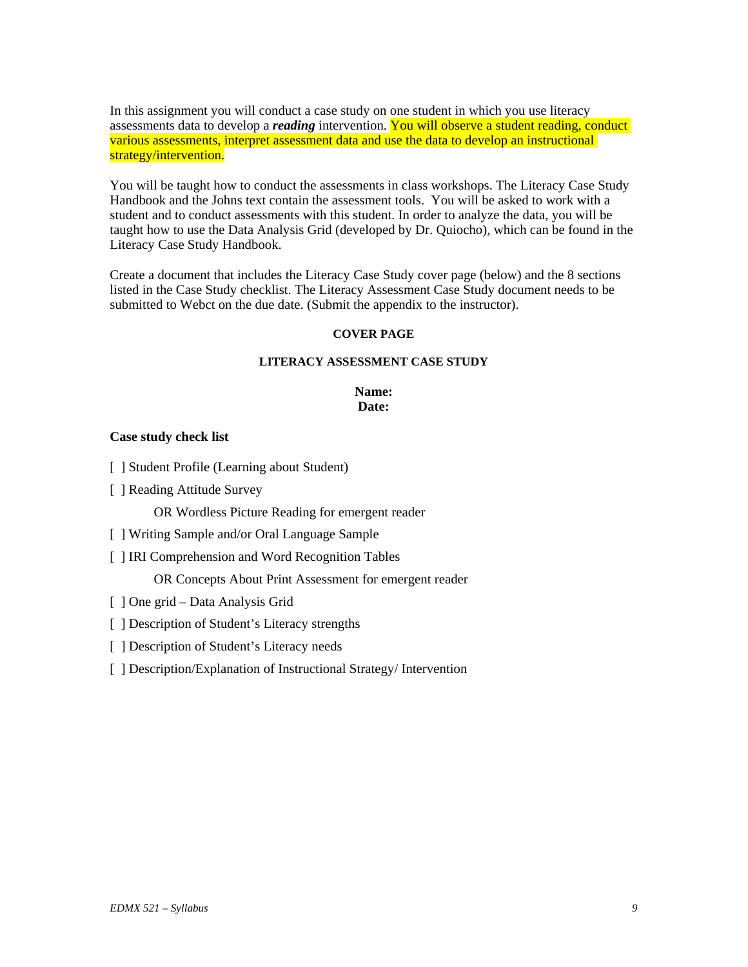In this assignment you will conduct a case study on one student in which you use literacy assessments data to develop a *reading* intervention. You will observe a student reading, conduct various assessments, interpret assessment data and use the data to develop an instructional strategy/intervention.

You will be taught how to conduct the assessments in class workshops. The Literacy Case Study Handbook and the Johns text contain the assessment tools. You will be asked to work with a student and to conduct assessments with this student. In order to analyze the data, you will be taught how to use the Data Analysis Grid (developed by Dr. Quiocho), which can be found in the Literacy Case Study Handbook.

Create a document that includes the Literacy Case Study cover page (below) and the 8 sections listed in the Case Study checklist. The Literacy Assessment Case Study document needs to be submitted to Webct on the due date. (Submit the appendix to the instructor).

#### **COVER PAGE**

### **LITERACY ASSESSMENT CASE STUDY**

### **Name: Date:**

#### **Case study check list**

- [ ] Student Profile (Learning about Student)
- [ ] Reading Attitude Survey

OR Wordless Picture Reading for emergent reader

- [ ] Writing Sample and/or Oral Language Sample
- [ ] IRI Comprehension and Word Recognition Tables

OR Concepts About Print Assessment for emergent reader

- [ ] One grid Data Analysis Grid
- [ ] Description of Student's Literacy strengths
- [ ] Description of Student's Literacy needs
- [ ] Description/Explanation of Instructional Strategy/ Intervention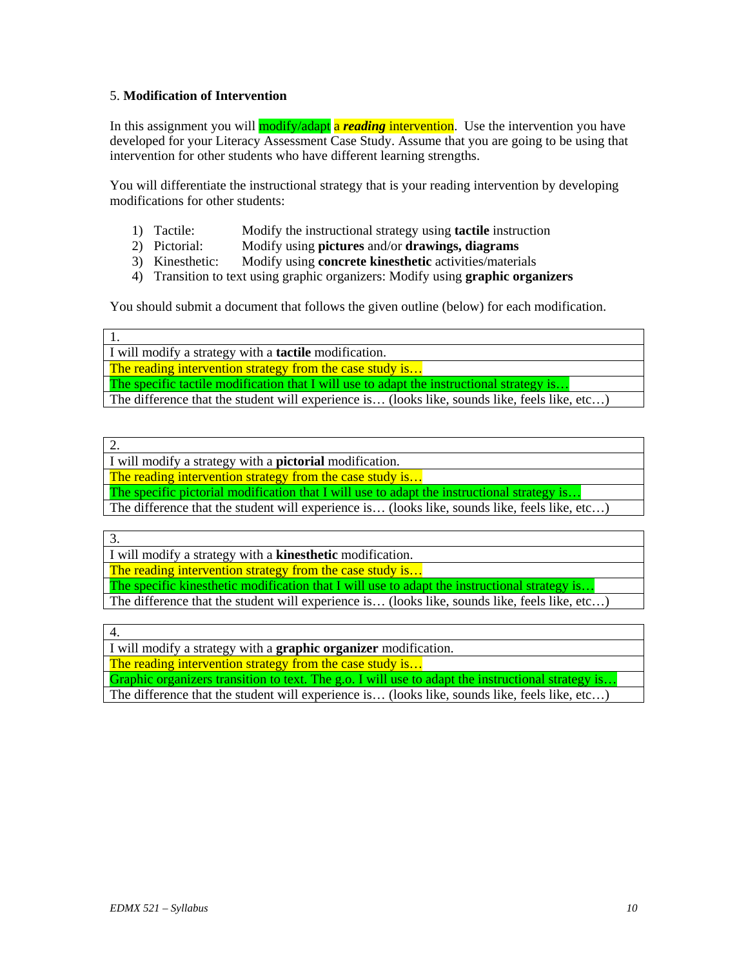### 5. **Modification of Intervention**

In this assignment you will modify/adapt a *reading* intervention. Use the intervention you have developed for your Literacy Assessment Case Study. Assume that you are going to be using that intervention for other students who have different learning strengths.

You will differentiate the instructional strategy that is your reading intervention by developing modifications for other students:

- 1) Tactile: Modify the instructional strategy using **tactile** instruction
- 2) Pictorial: Modify using **pictures** and/or **drawings, diagrams**
- 3) Kinesthetic: Modify using **concrete kinesthetic** activities/materials
- 4) Transition to text using graphic organizers: Modify using **graphic organizers**

You should submit a document that follows the given outline (below) for each modification.

1. I will modify a strategy with a **tactile** modification.

The reading intervention strategy from the case study is...

The specific tactile modification that I will use to adapt the instructional strategy is...

The difference that the student will experience is... (looks like, sounds like, feels like, etc...)

2.

I will modify a strategy with a **pictorial** modification.

The reading intervention strategy from the case study is...

The specific pictorial modification that I will use to adapt the instructional strategy is..

The difference that the student will experience is… (looks like, sounds like, feels like, etc…)

3.

I will modify a strategy with a **kinesthetic** modification.

The reading intervention strategy from the case study is...

The specific kinesthetic modification that I will use to adapt the instructional strategy is..

The difference that the student will experience is… (looks like, sounds like, feels like, etc…)

4.

I will modify a strategy with a **graphic organizer** modification.

The reading intervention strategy from the case study is...

Graphic organizers transition to text. The g.o. I will use to adapt the instructional strategy is..

The difference that the student will experience is… (looks like, sounds like, feels like, etc…)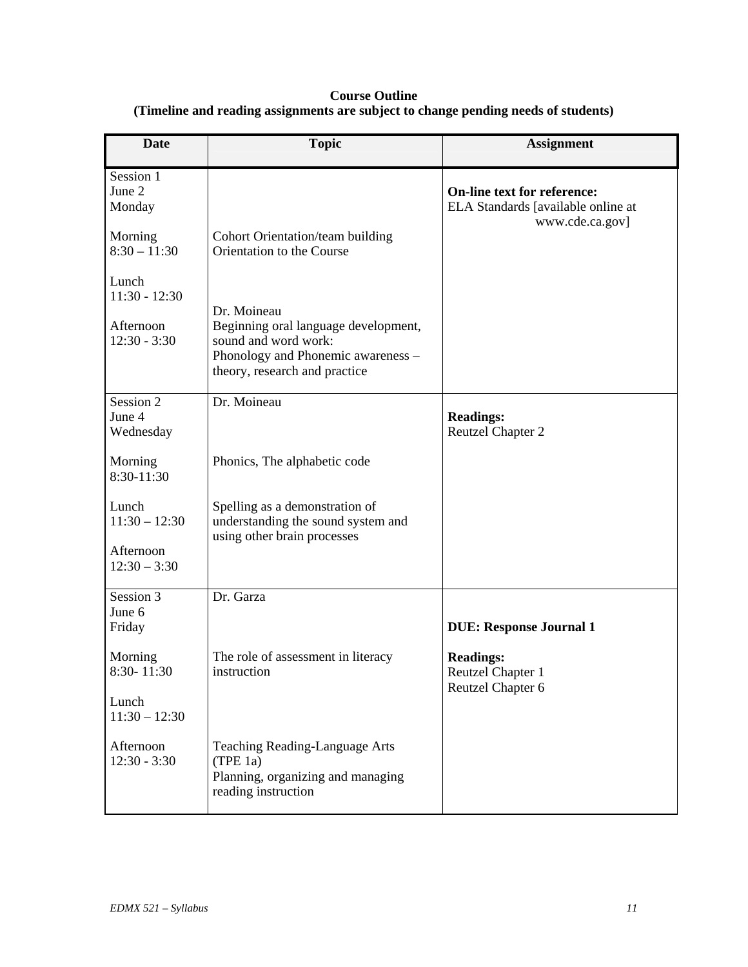# **Course Outline (Timeline and reading assignments are subject to change pending needs of students)**

| <b>Date</b>                                             | <b>Topic</b>                                                                                                                                       | <b>Assignment</b>                                                                           |
|---------------------------------------------------------|----------------------------------------------------------------------------------------------------------------------------------------------------|---------------------------------------------------------------------------------------------|
| Session 1<br>June 2<br>Monday                           |                                                                                                                                                    | <b>On-line text for reference:</b><br>ELA Standards [available online at<br>www.cde.ca.gov] |
| Morning<br>$8:30 - 11:30$                               | Cohort Orientation/team building<br>Orientation to the Course                                                                                      |                                                                                             |
| Lunch<br>$11:30 - 12:30$<br>Afternoon<br>$12:30 - 3:30$ | Dr. Moineau<br>Beginning oral language development,<br>sound and word work:<br>Phonology and Phonemic awareness -<br>theory, research and practice |                                                                                             |
| Session 2<br>June 4                                     | Dr. Moineau                                                                                                                                        | <b>Readings:</b>                                                                            |
| Wednesday                                               |                                                                                                                                                    | <b>Reutzel Chapter 2</b>                                                                    |
| Morning<br>$8:30-11:30$                                 | Phonics, The alphabetic code                                                                                                                       |                                                                                             |
| Lunch<br>$11:30 - 12:30$                                | Spelling as a demonstration of<br>understanding the sound system and<br>using other brain processes                                                |                                                                                             |
| Afternoon<br>$12:30 - 3:30$                             |                                                                                                                                                    |                                                                                             |
| Session 3                                               | Dr. Garza                                                                                                                                          |                                                                                             |
| June 6<br>Friday                                        |                                                                                                                                                    | <b>DUE: Response Journal 1</b>                                                              |
| Morning<br>8:30-11:30                                   | The role of assessment in literacy<br>instruction                                                                                                  | <b>Readings:</b><br>Reutzel Chapter 1<br>Reutzel Chapter 6                                  |
| Lunch<br>$11:30 - 12:30$                                |                                                                                                                                                    |                                                                                             |
| Afternoon<br>$12:30 - 3:30$                             | Teaching Reading-Language Arts<br>(TPE 1a)<br>Planning, organizing and managing<br>reading instruction                                             |                                                                                             |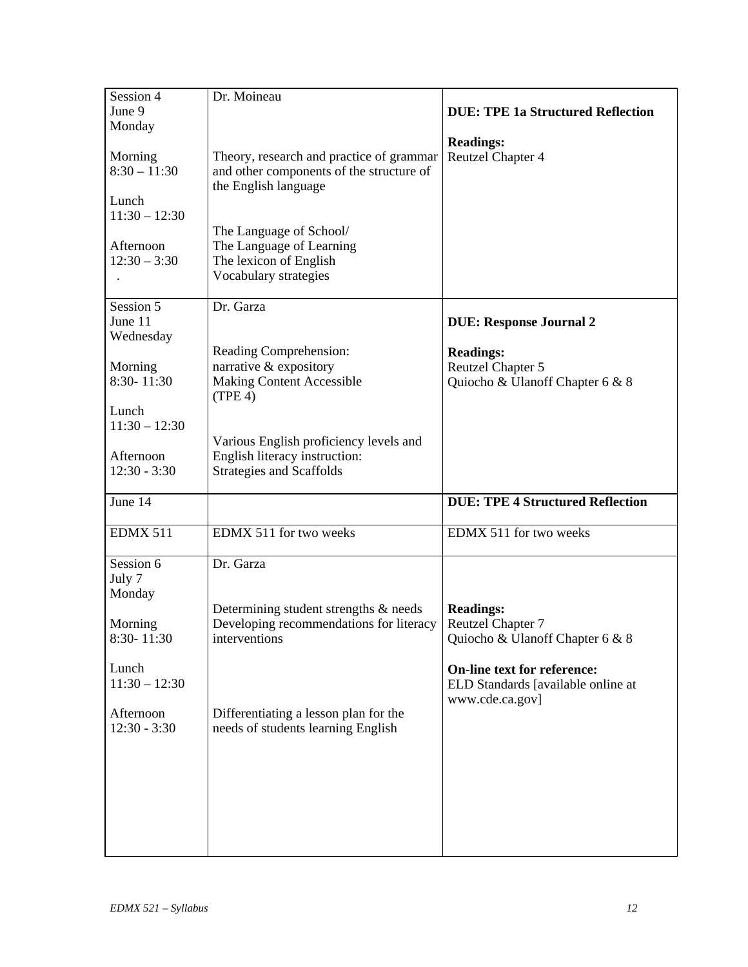| Session 4       | Dr. Moineau                              |                                          |
|-----------------|------------------------------------------|------------------------------------------|
| June 9          |                                          | <b>DUE: TPE 1a Structured Reflection</b> |
| Monday          |                                          |                                          |
|                 |                                          | <b>Readings:</b>                         |
| Morning         | Theory, research and practice of grammar | Reutzel Chapter 4                        |
| $8:30 - 11:30$  | and other components of the structure of |                                          |
|                 | the English language                     |                                          |
| Lunch           |                                          |                                          |
| $11:30 - 12:30$ |                                          |                                          |
|                 | The Language of School/                  |                                          |
| Afternoon       | The Language of Learning                 |                                          |
| $12:30 - 3:30$  | The lexicon of English                   |                                          |
|                 | Vocabulary strategies                    |                                          |
|                 |                                          |                                          |
| Session 5       | Dr. Garza                                |                                          |
| June 11         |                                          | <b>DUE: Response Journal 2</b>           |
| Wednesday       |                                          |                                          |
|                 | Reading Comprehension:                   | <b>Readings:</b>                         |
| Morning         | narrative & expository                   | Reutzel Chapter 5                        |
| 8:30-11:30      | <b>Making Content Accessible</b>         | Quiocho & Ulanoff Chapter 6 & 8          |
|                 | (TPE 4)                                  |                                          |
| Lunch           |                                          |                                          |
| $11:30 - 12:30$ |                                          |                                          |
|                 | Various English proficiency levels and   |                                          |
| Afternoon       | English literacy instruction:            |                                          |
| $12:30 - 3:30$  | <b>Strategies and Scaffolds</b>          |                                          |
|                 |                                          |                                          |
| June 14         |                                          | <b>DUE: TPE 4 Structured Reflection</b>  |
|                 |                                          |                                          |
| <b>EDMX 511</b> | EDMX 511 for two weeks                   | EDMX 511 for two weeks                   |
|                 |                                          |                                          |
| Session 6       | Dr. Garza                                |                                          |
| July 7          |                                          |                                          |
| Monday          |                                          |                                          |
|                 | Determining student strengths & needs    | <b>Readings:</b>                         |
| Morning         | Developing recommendations for literacy  | Reutzel Chapter 7                        |
| $8:30 - 11:30$  | interventions                            | Quiocho & Ulanoff Chapter 6 & 8          |
|                 |                                          |                                          |
| Lunch           |                                          | <b>On-line text for reference:</b>       |
| $11:30 - 12:30$ |                                          | ELD Standards [available online at       |
|                 |                                          | www.cde.ca.gov]                          |
| Afternoon       | Differentiating a lesson plan for the    |                                          |
| $12:30 - 3:30$  | needs of students learning English       |                                          |
|                 |                                          |                                          |
|                 |                                          |                                          |
|                 |                                          |                                          |
|                 |                                          |                                          |
|                 |                                          |                                          |
|                 |                                          |                                          |
|                 |                                          |                                          |
|                 |                                          |                                          |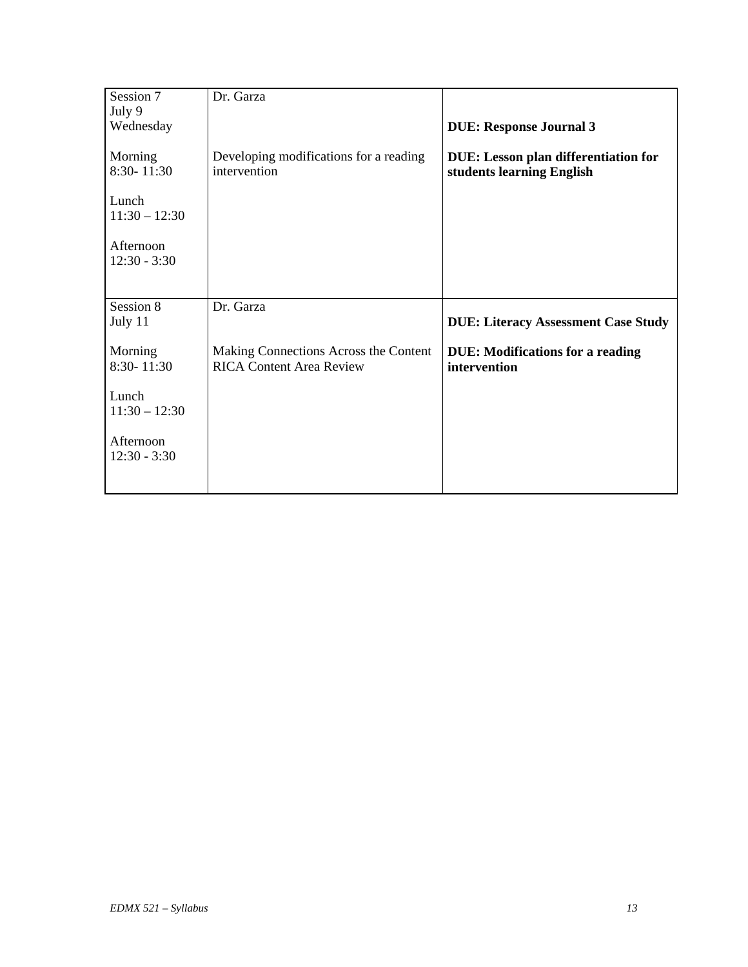| Session 7                   | Dr. Garza                                                                |                                                                          |
|-----------------------------|--------------------------------------------------------------------------|--------------------------------------------------------------------------|
| July 9                      |                                                                          |                                                                          |
| Wednesday                   |                                                                          | <b>DUE: Response Journal 3</b>                                           |
| Morning<br>8:30-11:30       | Developing modifications for a reading<br>intervention                   | <b>DUE:</b> Lesson plan differentiation for<br>students learning English |
| Lunch<br>$11:30 - 12:30$    |                                                                          |                                                                          |
| Afternoon<br>$12:30 - 3:30$ |                                                                          |                                                                          |
| Session 8                   | Dr. Garza                                                                |                                                                          |
| July 11                     |                                                                          | <b>DUE: Literacy Assessment Case Study</b>                               |
| Morning<br>8:30-11:30       | Making Connections Across the Content<br><b>RICA Content Area Review</b> | <b>DUE: Modifications for a reading</b><br>intervention                  |
| Lunch<br>$11:30 - 12:30$    |                                                                          |                                                                          |
| Afternoon<br>$12:30 - 3:30$ |                                                                          |                                                                          |